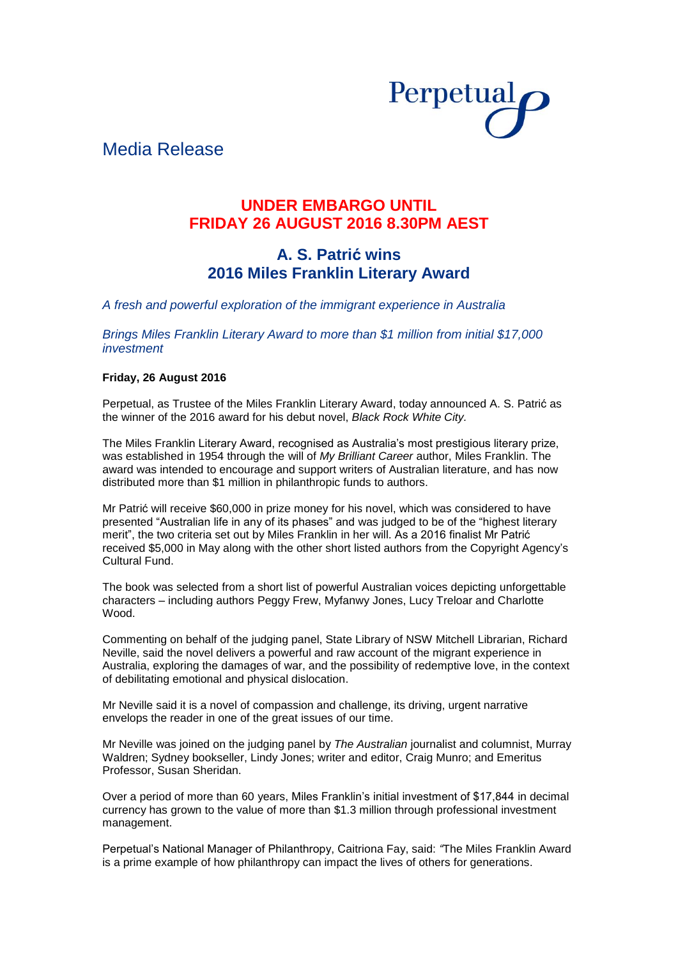

# Media Release

## **UNDER EMBARGO UNTIL FRIDAY 26 AUGUST 2016 8.30PM AEST**

## **A. S. Patrić wins 2016 Miles Franklin Literary Award**

*A fresh and powerful exploration of the immigrant experience in Australia*

*Brings Miles Franklin Literary Award to more than \$1 million from initial \$17,000 investment* 

### **Friday, 26 August 2016**

Perpetual, as Trustee of the Miles Franklin Literary Award, today announced A. S. Patrić as the winner of the 2016 award for his debut novel, *Black Rock White City.*

The Miles Franklin Literary Award, recognised as Australia's most prestigious literary prize, was established in 1954 through the will of *My Brilliant Career* author, Miles Franklin. The award was intended to encourage and support writers of Australian literature, and has now distributed more than \$1 million in philanthropic funds to authors.

Mr Patrić will receive \$60,000 in prize money for his novel, which was considered to have presented "Australian life in any of its phases" and was judged to be of the "highest literary merit", the two criteria set out by Miles Franklin in her will. As a 2016 finalist Mr Patrić received \$5,000 in May along with the other short listed authors from the Copyright Agency's Cultural Fund.

The book was selected from a short list of powerful Australian voices depicting unforgettable characters – including authors Peggy Frew, Myfanwy Jones, Lucy Treloar and Charlotte Wood.

Commenting on behalf of the judging panel, State Library of NSW Mitchell Librarian, Richard Neville, said the novel delivers a powerful and raw account of the migrant experience in Australia, exploring the damages of war, and the possibility of redemptive love, in the context of debilitating emotional and physical dislocation.

Mr Neville said it is a novel of compassion and challenge, its driving, urgent narrative envelops the reader in one of the great issues of our time.

Mr Neville was joined on the judging panel by *The Australian* journalist and columnist, Murray Waldren; Sydney bookseller, Lindy Jones; writer and editor, Craig Munro; and Emeritus Professor, Susan Sheridan.

Over a period of more than 60 years, Miles Franklin's initial investment of \$17,844 in decimal currency has grown to the value of more than \$1.3 million through professional investment management.

Perpetual's National Manager of Philanthropy, Caitriona Fay, said: *"*The Miles Franklin Award is a prime example of how philanthropy can impact the lives of others for generations.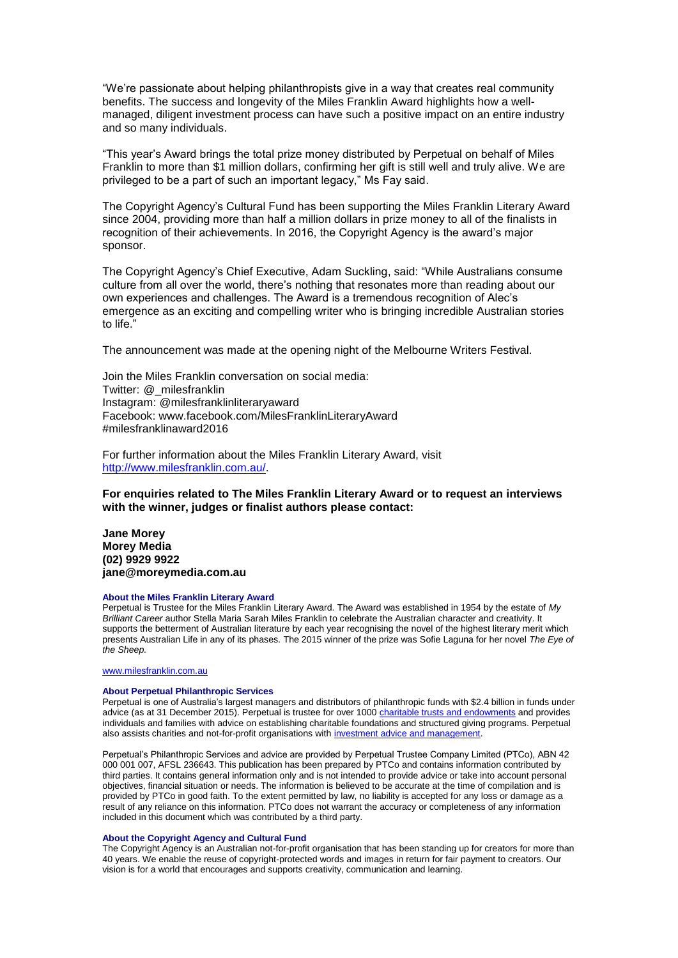"We're passionate about helping philanthropists give in a way that creates real community benefits. The success and longevity of the Miles Franklin Award highlights how a wellmanaged, diligent investment process can have such a positive impact on an entire industry and so many individuals.

"This year's Award brings the total prize money distributed by Perpetual on behalf of Miles Franklin to more than \$1 million dollars, confirming her gift is still well and truly alive. We are privileged to be a part of such an important legacy," Ms Fay said.

The Copyright Agency's Cultural Fund has been supporting the Miles Franklin Literary Award since 2004, providing more than half a million dollars in prize money to all of the finalists in recognition of their achievements. In 2016, the Copyright Agency is the award's major sponsor.

The Copyright Agency's Chief Executive, Adam Suckling, said: "While Australians consume culture from all over the world, there's nothing that resonates more than reading about our own experiences and challenges. The Award is a tremendous recognition of Alec's emergence as an exciting and compelling writer who is bringing incredible Australian stories to life."

The announcement was made at the opening night of the Melbourne Writers Festival.

Join the Miles Franklin conversation on social media: Twitter: @\_milesfranklin Instagram: @milesfranklinliteraryaward Facebook: www.facebook.com/MilesFranklinLiteraryAward #milesfranklinaward2016

For further information about the Miles Franklin Literary Award, visit [http://www.milesfranklin.com.au/.](http://www.milesfranklin.com.au/)

**For enquiries related to The Miles Franklin Literary Award or to request an interviews with the winner, judges or finalist authors please contact:**

**Jane Morey Morey Media (02) 9929 9922 jane@moreymedia.com.au**

#### **About the Miles Franklin Literary Award**

Perpetual is Trustee for the Miles Franklin Literary Award. The Award was established in 1954 by the estate of *My Brilliant Career* author Stella Maria Sarah Miles Franklin to celebrate the Australian character and creativity. It supports the betterment of Australian literature by each year recognising the novel of the highest literary merit which presents Australian Life in any of its phases. The 2015 winner of the prize was Sofie Laguna for her novel *The Eye of the Sheep.*

#### [www.milesfranklin.com.au](http://www.milesfranklin.com.au/)

#### **About Perpetual Philanthropic Services**

Perpetual is one of Australia's largest managers and distributors of philanthropic funds with \$2.4 billion in funds under advice (as at 31 December 2015). Perpetual is trustee for over 1000 [charitable trusts and endowments](http://www.perpetual.com.au/philanthropy-individuals-and-families.aspx) and provides individuals and families with advice on establishing charitable foundations and structured giving programs. Perpetual also assists charities and not-for-profit organisations wit[h investment advice and management.](http://www.perpetual.com.au/philanthropy-investment-advice-management.aspx)

Perpetual's Philanthropic Services and advice are provided by Perpetual Trustee Company Limited (PTCo), ABN 42 000 001 007, AFSL 236643. This publication has been prepared by PTCo and contains information contributed by third parties. It contains general information only and is not intended to provide advice or take into account personal objectives, financial situation or needs. The information is believed to be accurate at the time of compilation and is provided by PTCo in good faith. To the extent permitted by law, no liability is accepted for any loss or damage as a result of any reliance on this information. PTCo does not warrant the accuracy or completeness of any information included in this document which was contributed by a third party.

### **About the Copyright Agency and Cultural Fund**

The Copyright Agency is an Australian not-for-profit organisation that has been standing up for creators for more than 40 years. We enable the reuse of copyright-protected words and images in return for fair payment to creators. Our vision is for a world that encourages and supports creativity, communication and learning.